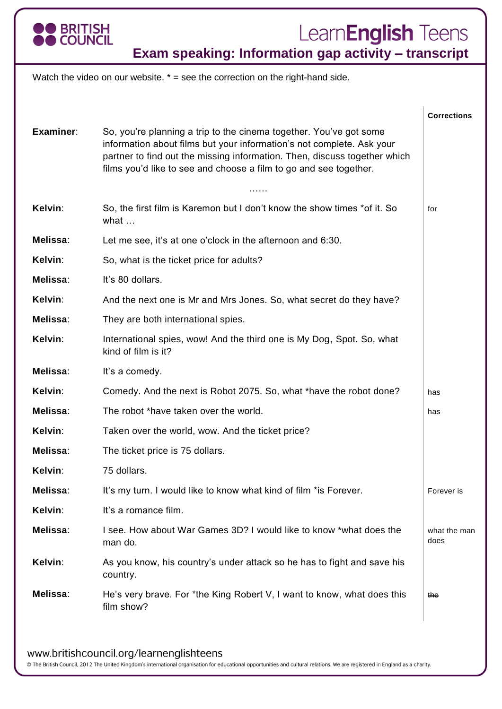

## Learn**English** Teens

**Exam speaking: Information gap activity – transcript**

Watch the video on our website.  $* =$  see the correction on the right-hand side.

|           |                                                                                                                                                                                                                                                                                               | <b>Corrections</b>   |
|-----------|-----------------------------------------------------------------------------------------------------------------------------------------------------------------------------------------------------------------------------------------------------------------------------------------------|----------------------|
| Examiner: | So, you're planning a trip to the cinema together. You've got some<br>information about films but your information's not complete. Ask your<br>partner to find out the missing information. Then, discuss together which<br>films you'd like to see and choose a film to go and see together. |                      |
|           | .                                                                                                                                                                                                                                                                                             |                      |
| Kelvin:   | So, the first film is Karemon but I don't know the show times *of it. So<br>what $\dots$                                                                                                                                                                                                      | for                  |
| Melissa:  | Let me see, it's at one o'clock in the afternoon and 6:30.                                                                                                                                                                                                                                    |                      |
| Kelvin:   | So, what is the ticket price for adults?                                                                                                                                                                                                                                                      |                      |
| Melissa:  | It's 80 dollars.                                                                                                                                                                                                                                                                              |                      |
| Kelvin:   | And the next one is Mr and Mrs Jones. So, what secret do they have?                                                                                                                                                                                                                           |                      |
| Melissa:  | They are both international spies.                                                                                                                                                                                                                                                            |                      |
| Kelvin:   | International spies, wow! And the third one is My Dog, Spot. So, what<br>kind of film is it?                                                                                                                                                                                                  |                      |
| Melissa:  | It's a comedy.                                                                                                                                                                                                                                                                                |                      |
| Kelvin:   | Comedy. And the next is Robot 2075. So, what *have the robot done?                                                                                                                                                                                                                            | has                  |
| Melissa:  | The robot *have taken over the world.                                                                                                                                                                                                                                                         | has                  |
| Kelvin:   | Taken over the world, wow. And the ticket price?                                                                                                                                                                                                                                              |                      |
| Melissa:  | The ticket price is 75 dollars.                                                                                                                                                                                                                                                               |                      |
| Kelvin:   | 75 dollars.                                                                                                                                                                                                                                                                                   |                      |
| Melissa:  | It's my turn. I would like to know what kind of film *is Forever.                                                                                                                                                                                                                             | Forever is           |
| Kelvin:   | It's a romance film.                                                                                                                                                                                                                                                                          |                      |
| Melissa:  | I see. How about War Games 3D? I would like to know *what does the<br>man do.                                                                                                                                                                                                                 | what the man<br>does |
| Kelvin:   | As you know, his country's under attack so he has to fight and save his<br>country.                                                                                                                                                                                                           |                      |
| Melissa:  | He's very brave. For *the King Robert V, I want to know, what does this<br>film show?                                                                                                                                                                                                         | the                  |
|           |                                                                                                                                                                                                                                                                                               |                      |

www.britishcouncil.org/learnenglishteens

© The British Council, 2012 The United Kingdom's international organisation for educational opportunities and cultural relations. We are registered in England as a charity.